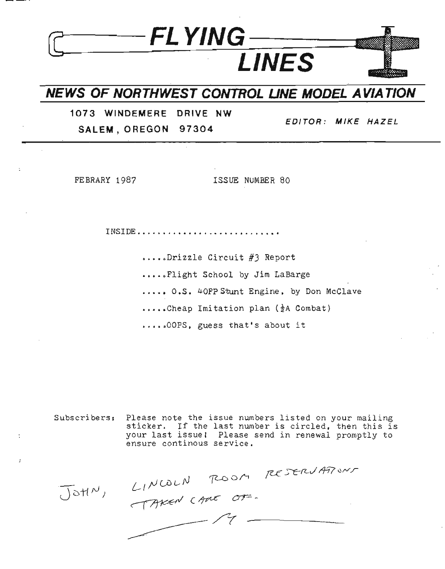## **NEWS OF NORTHWEST CONTROL UNE MODEL A VIA TION**

**::J----FLYING---**

**1073 WINDEMERE DRIVE NW SALEM, 0 REGON 97304**

**EDITOR: MIKE HAZEL**

FEBRARY 1987 **ISSUE NUMBER 80** 

**LINES**

**INSIDE ........•..................•**

•.•••Drizzle Circuit #3 Report

•••••Flight School by Jim LaBarge

...•• **O.S.** 40FP Stunt Engine, by Don McClave

 $\ldots$ .Cheap Imitation plan ( $\frac{1}{2}A$  Combat)

•.•••OOPs, guess that's about it

Subscribers: Please note the issue numbers listed on your mailing sticker. If the last number is circled, then this is your last issuel Please send in renewal promptly to ensure continous service.

LINCOLN ROOM RESERVATIONS  $J$ otl $N$ )  $\overline{\phantom{a}}$  . The contract of  $\overline{\phantom{a}}$  ,  $\overline{\phantom{a}}$  ,  $\overline{\phantom{a}}$  ,  $\overline{\phantom{a}}$  ,  $\overline{\phantom{a}}$  ,  $\overline{\phantom{a}}$  ,  $\overline{\phantom{a}}$  ,  $\overline{\phantom{a}}$  ,  $\overline{\phantom{a}}$  ,  $\overline{\phantom{a}}$  ,  $\overline{\phantom{a}}$  ,  $\overline{\phantom{a}}$  ,  $\overline{\phantom{a}}$  ,  $\overline{\phantom{a$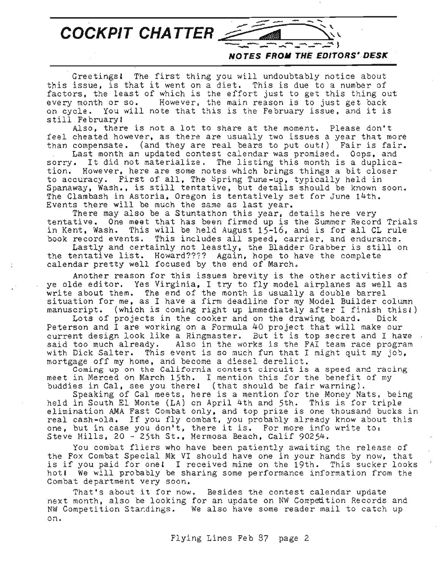COCKPIT CHATTER

**NOTES FROII THE EDITORS·.DESK**

 $\sim$  3

Greetingsl The first thing you will undoubtably notice about this issue, is that it went on <sup>a</sup> diet. This is due to <sup>a</sup> number of factors, the least of which is the effort just to get this thing out every month or so. However, the main reason is to just get back on cycle. You will note that this is the February issue, and it is still Februaryl

Also, there is not a lot to share at the moment. Please don't feel cheated however, as there are usually two issues a year that more than compensate. (and they are real bears to put out!) Fair is fair. Last month an updated contest calendar was promised. Oops, and sorry. It did not materialize. The listing this month is <sup>a</sup> duplication. However, here are some notes which brings things a bit closer to accuracy. First of all, The Spring Tune-up, typically held in Spanaway, Wash., is still tentative, but details should be known soon. The Clambash in Astoria, Oregon is tentatively set for June 14th. Events there will be much the same as last year.

There may also be a Stuntathon this year, details here very tentative. One meet that has been firmed up is the Summer Record Trials in Kent, Wash. This will be held August 15-16, and is for all CL rule book record events. This includes all speed, carrier, and endurance.

Lastly and certainly not leastly, the Bladder Grabber is still on the tentative list. Howard???? Again, hope to have the complete calendar pretty well focused by the end of March.

Another reason for this issues brevity is the other activities of ye aIde editor. Yes Virginia, I try to fly model airplanes as well as write about them. The end of the month is usually a double barrel situation for me, as I have a firm deadline for my Model Builder column manuscript. (which is coming right up immediately after I finish this!)<br>Lots of projects in the cooker and on the drawing board. Dick

Lots of projects in the cooker and on the drawing board. Peterson and <sup>I</sup> are working on a Formula 40 project that will make our current design look like a Ringmaster. But it is top secret and I have  $\sim$ said too much already. Also in the works is the FAT team race program with Dick Salter. This event is so much fun that I might quit my  $j\delta b$ , mortgage off my home, and become a diesel derelict.

Coming up on the California contest circuit is <sup>a</sup> speed and racing meet in Merced on March 15th. <sup>I</sup> mention this for the benefit of my buddies in Cal, see you therel (that should be fair warning).

Speaking of Cal meets, here is a mention for the Money Nats, being held in South EI Monte (LA) on April 4th and 5th. This is for triple elimination AMA Fast Combat only, and top prize is one thousand bucks in eilmination AMA fast Combat only, and top prize is one thousand oucks i<br>real cash-ola. If you fly combat, you probably already know about this real casn-ola. It you fly comoat, you probably already know about the second our condensing our condensing  $\alpha$ . Steve Hills, 20 - 25th St., Hermosa Beach, Calif 90254.

You combat fliers who have been patiently awaiting the release of the Fox Combat Special Mk VI should have one in your hands by now, that is if you paid for onel <sup>I</sup> received mine on the 19th. This sucker looks hotl We will probably be sharing some performance information from the Combat department very soon.

That's about it for now. Besides the contest calendar update next month, also be looking for an update on NW Competition Records and NW Competition Standings. We also have some reader mail to catch up on.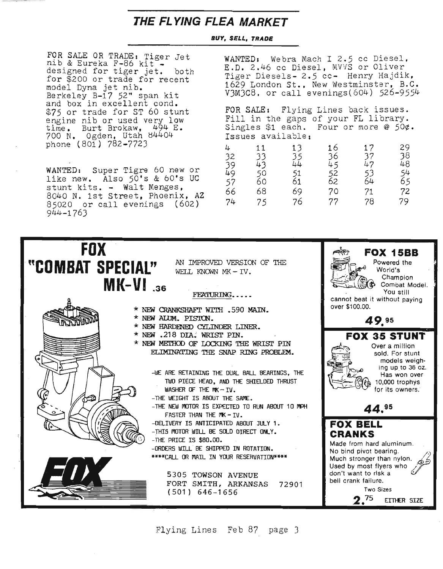### **THE FL YING FLEA MARKET**

#### *BUY, SELL, TRADE*

FOR SALE OR TRADE: Tiger Jet<br>nib & Eureka F-86 kit nib & Eureka F-86 kit -<br>nib & Eureka F-86 kit -<br>designed for tiger jet. both for \$200 or trade for recent model Dyna jet nib. Berkeley B-17 52" span kit and box in excellent cond. \$75 or trade for ST 60 stunt engine nib or used very low time. Burt Brokaw, 494 E. 700 N. Ogden. Utah e4404 phone (801) 782-7723

WANTED: Super Tigre 60 new or like new. Also 50's & 60's UC stunt kits. - Walt Menges. 8040 N. 1st Street, Phoenix, AZ 85020 or call evenings (602) 944-1763

WANTED: Webra Mach I 2.5 cc Diesel, E.D. 2.46 cc Diesel, MVVS or Oliver Tiger Diesels- 2.5 cc- Henry Hajdik, 1629 London St., New Westminster, B.C. V3M3C8, or call evenings(604) 526-9554

FOR SALE: Flying Lines back issues. Fill in the gaps of your FL library. Singles \$1 each. Four or more @ 50¢. Issues available:

| 4  | 11 | 13 | 16 | 17 | 29 |
|----|----|----|----|----|----|
| 32 | 33 | 35 | 36 | 37 | 38 |
| 39 | 43 | 44 | 45 | 47 | 48 |
| 49 | 50 | 51 | 52 | 53 | 54 |
| 57 | 60 | 61 | 62 | 64 | 65 |
| 66 | 68 | 69 | 70 | 71 | 72 |
| 74 | 75 | 76 | 77 | 78 | 79 |



Flying Lines Feb 87 page J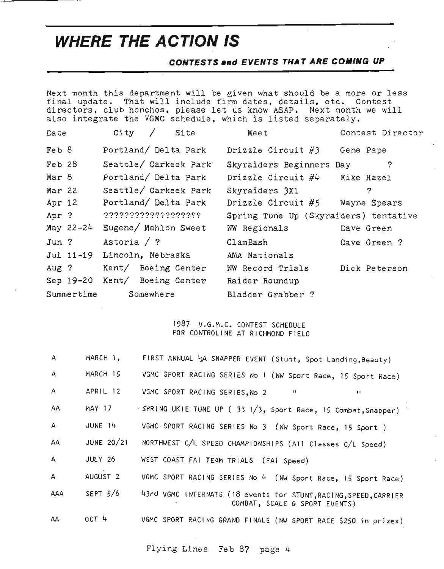# **WHERE THE ACTION IS**

#### **CONTESTS .nd EVENTS THAT ARE COiliNG UP**

Next month this department will be given what should be a more or less final update. That will include firm dates, details, etc. Contest directors, club honchos, please let us know ASAP. Next month we will also integrate the VGMC schedule, which is listed separately.

| Date          | City<br>Site                  | Meet                                  | Contest Director |
|---------------|-------------------------------|---------------------------------------|------------------|
| Feb $8$       | Portland/ Delta Park          | Drizzle Circuit $#3$                  | Gene Pape        |
| $Feb$ 28      | Seattle/ Carkeek Park         | Skyraiders Beginners Day              | $\hat{?}$        |
| Mar 8         | Portland/ Delta Park          | Drizzle Circuit $\#4$                 | Mike Hazel       |
| Mar 22        | Seattle/ Carkeek Park         | Skyraiders 3X1                        | $\tilde{z}$      |
| Apr 12        | Portland/ Delta Park          | Drizzle Circuit $#5$                  | Wayne Spears     |
| Apr ?         | 2222222222222222222           | Spring Tune Up (Skyraiders) tentative |                  |
| May $22 - 24$ | Eugene/ Mahlon Sweet          | NW Regionals                          | Dave Green       |
| $Jun$ ?       | Astoria $/$ ?                 | ClamBash                              | Dave Green ?     |
|               | Jul 11-19 Lincoln, Nebraska   | AMA Nationals                         |                  |
| Aug ?         | Kent/ Boeing Center           | NW Record Trials                      | Dick Peterson    |
|               | Sep 19-20 Kent/ Boeing Center | Raider Roundup                        |                  |
| Summertime    | Somewhere                     | Bladder Grabber ?                     |                  |

#### 1987 V.G.M.C. CONTEST SCHEDULE FOR CONTROLINE AT RICHMOND FIELD

| $\mathsf{A}$ | MARCH 1,            | FIRST ANNUAL 12A SNAPPER EVENT (Stunt, Spot Landing, Beauty)                                                        |
|--------------|---------------------|---------------------------------------------------------------------------------------------------------------------|
| $\mathsf{A}$ | MARCH 15            | VGMC SPORT RACING SERIES No 1 (NW Sport Race, 15 Sport Race)                                                        |
| $\mathsf{A}$ | APRIL 12            | VGMC SPORT RACING SERIES, No 2<br>$\mathbf{H}$<br>$\mathbf{H}$                                                      |
| AA           | <b>MAY 17</b>       | <spring (="" 1="" 15="" 3,="" 33="" combat,="" race,="" snapper)<="" sport="" td="" tune="" ukie="" up=""></spring> |
| $\mathsf{A}$ | JUNE 14             | VGMC SPORT RACING SERIES No 3 (NW Sport Race, 15 Sport )                                                            |
| AA           | JUNE $20/21$        | NORTHWEST C/L SPEED CHAMPIONSHIPS (All Classes C/L Speed)                                                           |
| $\mathsf{A}$ | JULY 26             | WEST COAST FAI TEAM TRIALS (FAI Speed)                                                                              |
| $\mathsf{A}$ | AUGUST <sub>2</sub> | VGMC SPORT RACING SERIES No 4 (NW Sport Race, 15 Sport Race)                                                        |
| AAA          | SEPT $5/6$          | 43rd VGMC INTERNATS (18 events for STUNT, RACING, SPEED, CARRIER<br>COMBAT, SCALE & SPORT EVENTS)                   |
| AA           | OCT 4               | VGMC SPORT RACING GRAND FINALE (NW SPORT RACE \$250 in prizes)                                                      |

#### Flying Lines Feb 87 page 4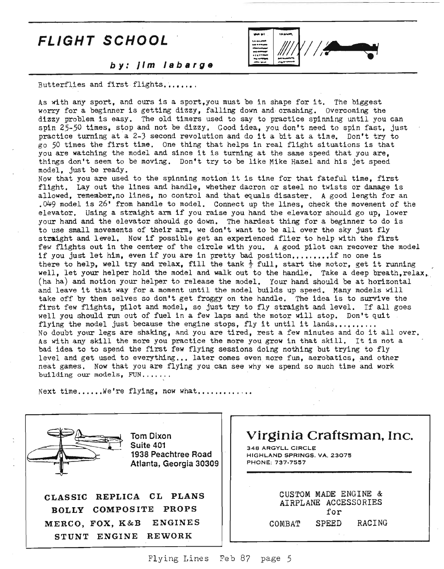## FLIGHT SCHOOL



by: Jim labarge

Butterflies and first flights.......

As with any sport, and ours is <sup>a</sup> sport,You must be in shape for it. The biggest worry for a beginner is getting dizzy, falling down and crashing. Overcoming the dizzy problem is easy. The old timers used to say to practice spinning until you can spin 25-50 times, stop and not be dizzy. Good idea, you don't need to spin fast, just practice turning at <sup>a</sup> 2-3 second revolution and do it <sup>a</sup> bit at <sup>a</sup> time. Don't try to go 50 times the first time. One thing that helps in real flight situations is that you are watching the model and since it is turning at the same speed that you are. things don't seem to be moving. Don't try to be like Mike Hazel and his jet speed model, just be ready.

Now that you are used to the spinning motion it is time for that fateful time, first flight. Layout the lines and handle, whether dacron or steel no twists or damage is allowed, remember,no lines, no control and that equals disaster. A good length for an .049 model is 26' from handle to model. Connect up the lines, check the movement of the elevator. Using <sup>a</sup> straight arm if you raise you hand the elevator should go up, lower your hand and the elevator should go down. The hardest thing for a beginner to do is to use small movements of their arm, we don't want to be allover the sky just fly straight and <sup>1</sup> evel. Now if possible get an experienced flier to help with the first few flights out in the center of the circle with you. A good pilot can recover the model if you just let him, even if you are in pretty bad position........if no one is there to help, well try and relax, fill the tank  $\frac{1}{2}$  full, start the motor, get it running well, let your helper hold the model and walk out to the handle. Take a deep breath,relax. (ha ha) and motion your helper to release the model. Your hand should be at horizontal and leave it that way for a moment until the model builds up speed. Many models will take off by them selves so don't get froggy on the handle. The idea is to survive the first few flights, pilot and model, so just try to fly straight and level. If all goes well you should run out of fuel in a few laps and the motor will stop. Don't quit flying the model just because the engine stops, fly it until it lands,........ No doubt your legs are shaking, and you are tired, rest a few minutes and do it all over. As with any skill the more you practice the more you grow in that skill. It is not <sup>a</sup> bad idea to to spend the first few flying sessions doing nothing but trying to fly level and get used to everything ... later comes even more fun, aerobatics, and other neat games. Now that you are flying you can see why we spend so much time and work building our models,  $FUN$ ......

Next time......We're flying, now what.............



Tom Dixon Suite 401 1938 Peachtree Road Atlanta, Georgia 30309

CLASSIC REPLICA CL PLANS BOLLY COMPOS ITE PROPS MERCO, FOX, K&B ENGINES STUNT ENGINE REWORK

Virginia Craftsman, Inc.

348 ARGYLL CIRCLE HIGHLAND SPRINGS. VA. 23075 PHONE: 737·7537

|        | CUSTOM MADE ENGINE &<br>AIRPLANE ACCESSORIES |        |
|--------|----------------------------------------------|--------|
|        | for                                          |        |
| COMBAT | <b>SPEED</b>                                 | RACING |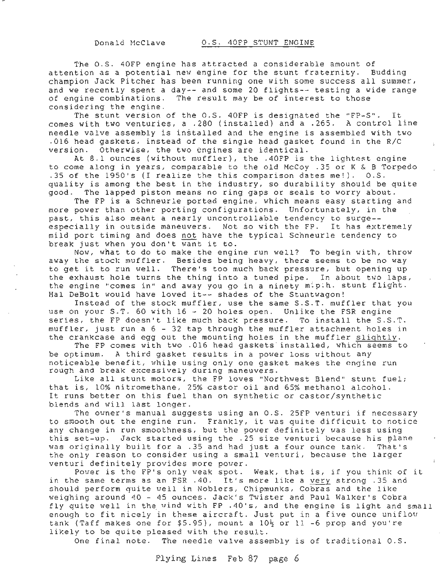The O.S. 40FP engine has attracted <sup>a</sup> considerable amount of attention as a potential new engine for the stunt fraternity. Budding champion Jack Pitcher has been running one with some success all summer, and we recently spent <sup>a</sup> day-- and some <sup>20</sup> flights-- testing <sup>a</sup> wide range of engine combinations. The result may be of interest to those considering the engine.

The stunt version of the O.S. 40FP is designated the "FP-S". It<br>with two venturies, a .280 (installed) and a .265. A control line comes with two venturies, a  $.280$  (installed) and a  $.265$ . needle valve assembly is installed and the engine is assembled with two .016 head gaskets, instead of the single head gasket found in the R/C version. Otherwise, the two engines are identical.

At 8.1 ounces (without muffler), the .40FP is the lightest engine to come along in years, comparable to the old McCoy .35 or K & B Torpedo .35 of the 1950's (I realize the this comparison dates me!). O.S. quality is among the best in the industry, so durability should be quite good. The lapped piston means no ring gaps or seals to worry about.

The FP is a Schneurle ported engine, which means easy starting and more power than other porting configurations. Unfortunately, in the past, this also meant <sup>a</sup> nearly uncontrollable tendency to surge- especially in outside maneuvers. Not so with the FP. It has extremely mild port timing and does not have the typical Schneurle tendency to break just when you don't want it to.

Now, what to do to make the engine run well? To begin with, throw away the stock muffler. Besides being heavy, there seems to be no way to get it to run well. There's too much back pressure, but opening up the exhaust hole turns the thing into a tuned pipe. In about two laps, the engine "comes in" and away you go in a ninety m:p.h. stunt flight. Hal DeBolt would have loved it-- shades of the Stuntwagon!

Instead of the stock muffler, use the same S.S.T. muffler that you use on your S.T. 60 with 16 - 20 holes open. Unlike the FSR engine series, the FP doesn't like much back pressure. To install the S.S.T. muffler, just run a 6 - <sup>32</sup> tap through the muffler attachment holes in the crankcase and egg out the mounting holes in the muffler slightly.

The FP comes with two .016 head gaskets installed, which seems to be optimum. A third gasket results in a power loss without any noticeable benefit, while using only one gasket makes the engine run rough and break excessively during maneuvers.

Like all stunt motors, the FP loves "Northwest Blend" stunt fuel; that is, 10% nitromethane, 25% castor oil and 65% methanol alcohol. It runs better on this fuel than on synthetic or castor/synthetic blends and will last longer.

The owner's manual suggests using an O.S. 25FP venturi if necessary to smooth out the engine run. Frankly, it was quite difficult to notice any change in run smoothness, but the power definitely was less using this set-up. Jack started using the .25 size venturi because his plane was originally built for a .35 and had just a four ounce tank. That's the only reason to consider using a small venturi, because the larger venturi definitely provides more power.

Pover is the FP's only weak spot. Weak, that is, if you think of it in the same terms as an FSR . 40. It's more like a very strong . 35 and shOUld perform quite well in Noblers, Chipmunks, Cobras and the like weighing around 40 - 45 ounces. Jack's Twister and Paul Walker's Cobra fly quite well in the wind with FP .40's, and the engine is light and small enough to fit nicely in these aircraft. Just put in <sup>a</sup> five ounce uniflou tank (Taff makes one for \$5.95), mount a  $10\frac{1}{2}$  or  $11$  -6 prop and you're likely to be quite pleased with the result.

One final note. The needle valve assembly is of traditional O.S.

Flying Lines Feb 87 page 6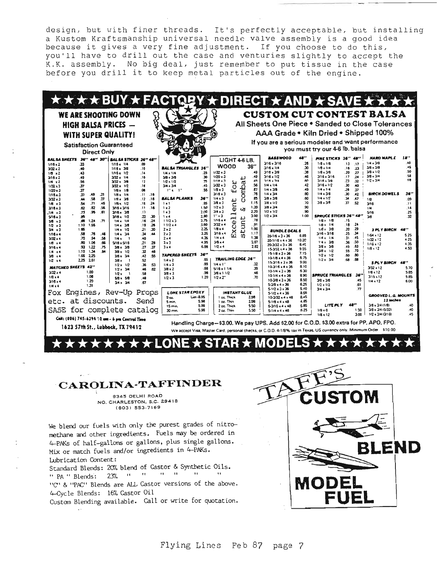design, but with finer threads. It's perfectly acceptable, but installing a Kustom Kraftsmanship universal needle valve assembly is a good idea because it gives a very fine adjustment. If you choose to do this, you'll have to drill out the case and venturies slightly to accept the K.K. assembly. No big deal, just remember to put tissue in the case before you drill it to keep metal particles out of the engine.

|                                   |                       |              |                    |                                                |            |          |                              |              |                                  |                          |              |                                                                                                                      |              |                                      |                              | <b>* * * * BUY * FACTOBY * DIRECT * AND * SAVE * * * *</b> |            |
|-----------------------------------|-----------------------|--------------|--------------------|------------------------------------------------|------------|----------|------------------------------|--------------|----------------------------------|--------------------------|--------------|----------------------------------------------------------------------------------------------------------------------|--------------|--------------------------------------|------------------------------|------------------------------------------------------------|------------|
|                                   |                       |              |                    | WE ARE SHOOTING DOWN                           |            |          |                              |              |                                  |                          |              |                                                                                                                      |              |                                      |                              | <b>CUSTOM CUT CONTEST BALSA</b>                            |            |
|                                   |                       |              |                    |                                                |            |          |                              |              |                                  |                          |              |                                                                                                                      |              |                                      |                              | All Sheets One Piece . Sanded to Close Tolerances          |            |
|                                   |                       |              |                    | <b>HIGH BALSA PRICES —</b>                     |            |          |                              |              |                                  |                          |              |                                                                                                                      |              |                                      |                              |                                                            |            |
|                                   |                       |              |                    | <b>WITH SUPER QUALITY!</b>                     |            |          |                              |              |                                  |                          |              | AAA Grade . Kiln Dried . Shipped 100%                                                                                |              |                                      |                              |                                                            |            |
|                                   |                       |              |                    |                                                |            |          |                              |              |                                  |                          |              | If you are a serious modeler and want performance                                                                    |              |                                      |                              |                                                            |            |
|                                   |                       |              |                    | <b>Satisfaction Guaranteed</b>                 |            |          |                              |              |                                  |                          |              |                                                                                                                      |              | you must try our 4-6 lb. balsa       |                              |                                                            |            |
|                                   |                       |              | <b>Direct Only</b> |                                                |            |          |                              |              |                                  |                          |              |                                                                                                                      |              |                                      |                              |                                                            |            |
| BAL SA SHEETS                     |                       |              | 36" 48" 30"        | <b>BAL SA STICKS 36" 48"</b>                   |            |          |                              |              |                                  | LIGHT 4-6 LB.            |              | <b>RASSWOOD</b>                                                                                                      | 48''         | <b>PINE STICKS 16" 48"</b>           |                              | <b>HARD MAPLE</b>                                          | 18"<br>40  |
| $1/16 \times 2$                   | 33                    |              |                    | $1/16 \times 1/4$                              | ,œ         |          | <b>BAL SA TRIANGLES 36"</b>  |              | <b>WOOD</b>                      |                          | 36''         | $3/16 * 3/16$<br>3/16 x 1/4                                                                                          | .26<br>30    | $1/8 + 1/8$<br>$1/8 \times 1/4$      | $\overline{11}$<br>.17<br>16 | $1/4 \times 3/8$<br>$3/8 \times 3/8$                       | 45         |
| $3/32 \times 2$                   | .40                   |              |                    | 1/16 x 3/8                                     | .10        |          | 1/4 x 1/4                    | .25          | $1/32 \times 3$                  |                          | .49          | 3/16 x 3/8                                                                                                           | .38          | $1/8 \times 3/8$                     | .23<br>27<br>.20             | $3/8 + 1/2$                                                | .50        |
| $1/8 \times 2$<br>$3/16 \times 2$ | 43<br>49              |              |                    | $1/16 \times 1/2$<br>$3/32 \times 1/4$         | .14<br>.10 |          | $3/8 \times 3/8$             | 30           | $1/20 \times 3$                  |                          | .49          | $3/16 \times 1/2$                                                                                                    | 46           | $3/16 \times 3/16$                   | .17<br>24                    | $3/8 \times 3/4$                                           | 58         |
| 1/4 x 2                           | 56                    |              |                    | $3/32 \times 3/8$                              | 12         |          | $1/2 \times 1/2$             | 25           | $1/18 = 3$                       | ىد                       | 49           | $UIA + VA$                                                                                                           | 80           | $3/16 - 3/8$                         | .23<br>.32                   | $1/2 \times 3/4$                                           | 5.8        |
| $1/32 \times 3$                   | 37                    |              |                    | $3/32 = 1/2$                                   | .16        |          | $3/4 \times 3/4$             | .45          | $3/32 \times 3$                  | for<br>omba              | .56          | $1/4 \times 1/4$                                                                                                     | .42          | $3/16 \times 1/2$                    | .30<br>.40                   |                                                            |            |
| $1/20 \times 3$                   | 37                    |              |                    | $1/8x$ $1/8$                                   | 08         |          | $11.8 - 1.1$                 | 55           | $1/8*3$                          |                          | .67          | $1/4 \times 3/8$                                                                                                     | 49           | $3/4 \times 1/4$                     | 26<br>37                     |                                                            |            |
| $1/16 = 3$                        | 37                    | .49          | -31                | $1/8 \times 1/4$                               | .11        | .16      |                              |              | $3/16 \times 3$                  |                          | .76          | 1/4 x 3/4                                                                                                            | 80           | 1/4.3/8                              | OC.<br>.42                   | <b><i>BIRCH DOWELS</i></b>                                 | 36"        |
| $3/32 \times 3$                   | 44                    | .58          | -37                | $1/8 \times 3/8$                               | .12        | .18      | <b>BALSA PLANKS</b>          | 36"          | $1/4 \times 3$                   |                          | .85          | $3/8 \times 3/8$                                                                                                     | 60           | $1/4 \times 1/2$<br>$3/8 \times 3/8$ | 34<br>.47                    | 1/8                                                        | .09        |
| $1/8$ $x3$                        | 54                    | .71          | .45                | $1/8 \times 1/2$                               | .18        | .24      | $1 \times 1$                 | .65          | $3/8 \times 3$                   | ent                      | 1.15<br>1.39 | $3/8 \times 1/2$<br>$3/8 \times 3/4$                                                                                 | 70<br>.90    |                                      | $\mathbf{r}$<br>.52          | 3/16                                                       | .11        |
| $3/16 \times 3$                   | .62                   | .82<br>95    | 56<br>51           | 3/16 x 3/16                                    | .11<br>.17 | -18      | $1 \times 2$<br>$1 \times 3$ | 1.50<br>2.00 | $1/2 \times 3$<br>$3/4 \times 3$ |                          | 2.20         | $1/2 \times 1/2$                                                                                                     | .90          |                                      |                              | 114                                                        | .14<br>.25 |
| 3ء 14.<br>$5/16*3$                | <b>73</b><br>86       |              |                    | 3/16 x 3/8<br>$318 \times 1/2$                 | 22         | 30       | $1 \times 4$                 | 2.80         | $1'' \times 3$                   | ⊸                        | 3.00         | $1/2 \times 3/4$                                                                                                     | 1.00         | SPRUCE STICKS J&" 48"                |                              | 5/16<br>ังส                                                | 32         |
| $3/8 \times 3$                    | .86                   | 1.24         | $\overline{v}$     | $1/4 \times 1/4$                               | .16        | 24       | 11/23                        | 2.75         | $1/16 \times 4$                  | $\rightarrow$<br>ىد      | .78          |                                                                                                                      |              | $1/8x$ $1/8$                         | .15                          |                                                            |            |
| 1/2 x3                            | 1.10                  | 1.55         |                    | $1/4 \times 3/8$                               | .19        | .26      | 11/2 x 4                     | 3.60         | $3/32 \times 4$                  | Ë<br>e.                  | .91          |                                                                                                                      |              | 1/8 x 1/4                            | .24<br>.18                   |                                                            |            |
| $3/4 \times 3$                    | 1.65                  |              |                    | $1/4 \times 1/2$                               | 21         | 30       | $2 \times 2$                 | 2.25         | $1/8 \times 4$                   | ×<br>ىد                  | 1.00         | <b>BUNDLE DEALS</b>                                                                                                  |              | $1/Bx$ 3/8                           | .29<br>20                    | 3 PL Y BIRCH                                               | 48"        |
| $1/16 \times 4$                   | 58                    | .76          | .48                | $1/4 \times 3/4$                               | 34         | 44       | $2 \times 3$                 | 3.25         | $3/18 \times 4$                  | Ć٠<br>m                  | 1.17         | $20.1/6 \times 3 \times 36$                                                                                          | 6.85         | $3/16 \times 3/16$                   | .34<br>.25                   | $1/64 \times 12$                                           | 5.25       |
| $3/32 \times 4$                   | .70                   | .94          | .56                | $1/4 x$ 1                                      | 40         |          | $2 \times 4$                 | 4.35         | $1/4 \times 4$                   |                          | 1.38         | $20.1/16 \times 4 \times 36$                                                                                         | 10.20        | $1/4 \times 1/4$                     | .45<br>.31                   | $1/32 \times 12$                                           | 4.25       |
| $1/8 \times 4$                    | .80                   | 1.06         | .66                | $5/16 \times 5/16$                             | 21         | 28       | $3 \times 3$                 | 4.95         | $3/8*4$                          |                          | 2.07         | 20-3/32 x 3 x 36                                                                                                     | 8.45         | $1/4 \times 3/8$                     | .50<br>.36                   | $1/16 \times 12$                                           | 4.35       |
| $3/16 \times 4$                   | .93                   | 1,22         | .75                | $3/8 + 3/8$                                    | .27        | 37       | 3x4                          | 6.88         | $1/2 \times 4$                   |                          | 2.82         | $15.3/32 \times 4 \times 36$                                                                                         | 9.55         | $3/8 \times 3/8$<br>$3/8 \times 1/2$ | .63<br>.45<br>.70<br>55      | $1/8 \times 12$                                            | 4.50       |
| $1/4$ $\times$ 4                  | 1.10                  | 1.34<br>2.25 | <b>B&amp;</b>      | $308 \times 1/2$                               | 32<br>.42  | 46<br>56 | <b>TAPERED SHEETS</b>        | 34''         |                                  |                          |              | $15.1/8 \times 3 \times 36$                                                                                          | 7.15         | $1/2 - 1/2$                          | .80<br>.60                   |                                                            |            |
| $3/8$ $\times$ 4<br>$1/2$ $x 4$   | 1.65<br>2.25          | 2.61         |                    | $3/8 \times 3/4$<br>3/8 x                      | .52        |          | $1/4 \times 2$               | .65          |                                  | <b>TRAILING EDGE 36"</b> |              | $10-1/8 \times 4 \times 36$                                                                                          | 8.75         | $1/2 \times 3/4$                     | .88<br>.68                   |                                                            |            |
|                                   |                       |              |                    | $1/2 \times 1/2$                               | .36        | .53      | $1/4 \times 3$               | .85          | $1/4 \times 1$ "                 |                          | .32          | $15-3/16 + 3 \times 36$                                                                                              | 9.00         |                                      |                              | <b>SPLY BIRCH</b>                                          | 48"        |
|                                   | <b>MATCHED SHEETS</b> | 42"          |                    | $1/2 \times 3/4$                               | .46        | 87       | $3/8 \times 2$               | .68          | $5/16 \times 11/4$               |                          | .39          | $10-3/16 \times 4 \times 36$                                                                                         | 8.10<br>6.30 |                                      |                              | $3/32 \times 12$                                           | 5.70       |
| $3/32 \times 4$                   |                       | 1.00         |                    | $1/2 \times 1$                                 | 58         |          | $3/8 \times 3$               | .98          | $3/8 \times 11/2$                |                          | 46           | $10-1/4 \times 3 \times 36$                                                                                          | 8.90         | SPRUCE TRIANGLES                     | $36^{\prime\prime}$          | $1/8 \times 12$                                            | 5.85       |
| $1/8*4$                           |                       | 1.08         |                    | $5/8 \times 5/8$                               | 48         |          | $1/2*3$                      | 1.20         | $1/2 \times 2$                   |                          | .70          | $10-1/4 \times 4 \times 36$<br>$10-3/8 \times 3 \times 36$                                                           | 8.50         | $3/8 \times 3/6$                     | .45                          | $3.16 \times 12$                                           | 5.85       |
| $3/16 \times 4$                   |                       | 1.20         |                    | $3/4 \times 3/4$                               | 67         |          |                              |              |                                  |                          |              | $5-3/8 \times 4 \times 36$                                                                                           | 6.25         | $1/2 \times 1/2$                     | .61                          | $1/4$ s $12$                                               | 6.00       |
| $1/4 \times 4$                    |                       | 1.31         |                    |                                                |            |          |                              |              |                                  |                          |              | $51/2 \times 3 \times 36$                                                                                            | 5.40         | $3/4 \times 3/4$                     | $\pi$                        |                                                            |            |
| Fox                               |                       |              |                    | Engines, Rev-Up Props                          |            |          | <b>LONE STAR EPOXY</b>       |              |                                  | <b>INSTANT GLUE</b>      |              | $5.1/2 \times 4 \times 36$                                                                                           | 8.55         |                                      |                              |                                                            |            |
|                                   |                       |              |                    |                                                |            |          | $9 \alpha$ .                 | $List-8.95$  | 1 oz. Thick                      |                          | 2.98         | 10-3/32 x 4 x 48                                                                                                     | 8.45         |                                      |                              | GROOVED L.G. MOUNTS<br>12 inches                           |            |
|                                   | etc. at discounts.    |              |                    |                                                | Send       |          | 5 <sub>mm</sub>              | 5.98         | I as. Thin                       |                          | 2.98         | 5.1/8 x 4 x 48                                                                                                       | 4.85         |                                      | 48"                          | $3/8 \times 3/4$ (1/8)                                     | 40         |
|                                   |                       |              |                    | SASE for complete catalog                      |            |          | 15 min.                      | 5.98         | 2 oz. Thick                      |                          | 5.50         | $5-3/16 \times 4 \times 48$                                                                                          | 5.85         | LITE PLY                             | 1.50                         | 3/8 x 3/4 (5/32)                                           | .40        |
|                                   |                       |              |                    |                                                |            |          | 30 min.                      | 5.98         | 2 oz. Thin                       |                          | 5.50         | $5-1/4 \times 4 \times 48$                                                                                           | 6.25         | $1/8 \times 6$<br>18 x 12            | 3.00                         | $1/2 \times 3/4$ $(3/16)$                                  | 45         |
|                                   |                       |              |                    | Cali: (806) 745-6394 10 cm - 6 pm Central Time |            |          |                              |              |                                  |                          |              | Handling Charge-\$3.00. We pay UPS. Add \$2.00 for C.O.D. \$3.00 extra for PP, APO, FPO.                             |              |                                      |                              |                                                            |            |
|                                   |                       |              |                    | 1623 57th St., Lubbock, TX 79412               |            |          |                              |              |                                  |                          |              | We accept Visa, Master Card, personal checks, or C.O.D. 4-1/8% tax in Texas. US currency only. Minimum Order \$10.00 |              |                                      |                              |                                                            |            |

★LONE ★ STAR ★ MODEL

### CAROLINA-TAFFINDER

 $\star$ 

8345 DELHI ROAD NO. CHARLESTON, S.C. 29418 (803) 553-7169

We blend our fuels with only the purest grades of nitromethane and other ingredients. Fuels may be ordered in 4-PAKs of half-gallons or gallons, plus single gallons. Mix or match fuels and/or ingredients in 4-PAKs. Lubrication Content:

Standard Blends: 20% blend of Castor & Synthetic Oils. " PA " Blends: 23% " " " " **Contract Contract**  $-11$ 

"C" & "PAC" Blends are ALL Castor versions of the above. 4-Cycle Blends: 16% Castor Oil

Custom Blending available. Call or write for quotation.

 $\sim$ 

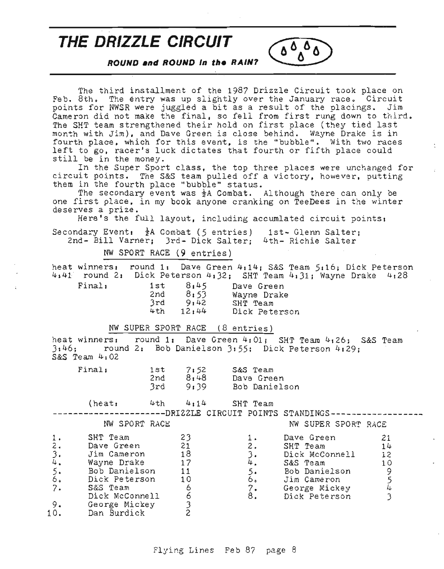## **THE DRIZZLE CIRCUIT**

**ROUND .nd ROUND In the RA/N?**

The third installment of the 1987 Drizzle Circuit took place on Feb. 8th. The entry was up slightly over the January race. Circuit points for NWSR were juggled a bit as a result of the placings. Jim Cameron did not make the final, so fell from first rung down to third. The SHT team strengthened their hold on first place (they tied last month with *Jim),* and Dave Green is close behind. Wayne Drake is in fourth place, which for this event, is the "bubble". With two races left to go, racer's luck dictates that fourth or fifth place could still be in the money.

 $0.00$ Λ

 $\overline{\phantom{a}}$ 

In the Super Sport class, the top three places were unchanged for circuit points. The S&S team pulled off a victory, however, putting them in the fourth place "bubble" status.

The secondary event was  $\frac{1}{2}A$  Combat. Although there can only be one first place, in my book anyone cranking on TeeDees in the winter deserves a prize.

Here's the full layout, including accumlated circuit points:

Secondary Event:  $\frac{1}{2}A$  Combat (5 entries) 1st- Glenn Salter; 2nd- Bill Varner; 3rd- Dick Salter; 4th- Richie Salter

NW SPORT RACE \9 entries)

heat winners: round 1: Dave Green 4:14; S&S Team 5:16; Dick Peterson 4:41 round 22 Dick Peterson 4:32; SHT Team 4 <sup>1</sup> 31; Wayne Drake 4:28

| Final, |  |
|--------|--|
|        |  |
|        |  |
|        |  |

1st  $8:45$  Dave Green<br>2nd  $8:53$  Wavne Drake 2nd *8:S3* Wayne Drake 3rd 9:42 SHT Team<br>
4th 12:44 Dick Pete Dick Peterson

NW SUPER SPORT RACE (8 entries)

heat winners: round 1: Dave Green 4:01; SHT Team 4:26; S&S Team 3:46; round 2: Bob Danielson *3:S5;* Dick Peterson 4:29; S&S Team 4:02

| Finalı | 1 s t |      | S&S Team      |
|--------|-------|------|---------------|
|        |       | 7:52 |               |
|        | 2nd   | 8:48 | Dave Green    |
|        | 3rd   | 9:39 | Bob Danielson |

 $(heat: 4th 4:14$  SHT Team

-------DRIZZLE CIRCUIT POINTS STANDINGS----------

|  | NW SPORT RACE |  |  |  |  | NW SUPER SPORT RACE |  |
|--|---------------|--|--|--|--|---------------------|--|
|--|---------------|--|--|--|--|---------------------|--|

|          | SHT Team       | 23 |     | Dave Green     |    |
|----------|----------------|----|-----|----------------|----|
| $2\cdot$ | Dave Green     | 21 | 2.  | SHT Team       | 14 |
|          | Jim Cameron    | 18 |     | Dick McConnell | 12 |
| 4.       | Wayne Drake    | 17 | 4.  | S&S Team       | 10 |
|          | Bob Danielson  | 11 |     | Bob Danielson  |    |
| 6.       | Dick Peterson  | 10 | ه ٥ | Jim Cameron    |    |
| 7.       | S&S Team       |    | 7.  | George Mickey  |    |
|          | Dick McConnell | 0  | 8.  | Dick Peterson  |    |
|          | George Mickey  |    |     |                |    |
| 10.      | Dan Burdick    |    |     |                |    |
|          |                |    |     |                |    |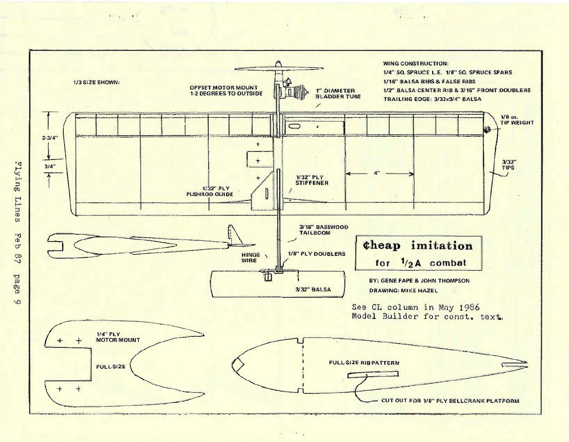

 $\begin{array}{ccc} \bullet & \bullet & \bullet & \bullet \end{array}$ 

 $1 - x = 11$ 

 $\infty$ 

Prince of